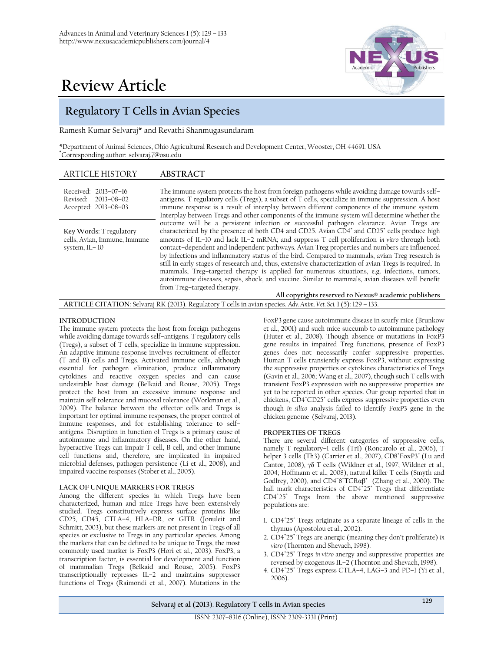

# **Regulatory T Cells in Avian Species**

Ramesh Kumar Selvaraj\* and Revathi Shanmugasundaram

\*Department of Animal Sciences, Ohio Agricultural Research and Development Center, Wooster, OH 44691. USA **\***Corresponding author: selvaraj.7@osu.edu

| <b>ARTICLE HISTORY</b>                                                     | <b>ABSTRACT</b>                                                                                                                                                                                                                                                                                                                                                                                                                                                                                                                                                                                                                                                                                                                                                                                                                                                |
|----------------------------------------------------------------------------|----------------------------------------------------------------------------------------------------------------------------------------------------------------------------------------------------------------------------------------------------------------------------------------------------------------------------------------------------------------------------------------------------------------------------------------------------------------------------------------------------------------------------------------------------------------------------------------------------------------------------------------------------------------------------------------------------------------------------------------------------------------------------------------------------------------------------------------------------------------|
| Received: 2013-07-16<br>Revised: 2013-08-02<br>Accepted: 2013-08-03        | The immune system protects the host from foreign pathogens while avoiding damage towards self-<br>antigens. T regulatory cells (Tregs), a subset of T cells, specialize in immune suppression. A host<br>immune response is a result of interplay between different components of the immune system.<br>Interplay between Tregs and other components of the immune system will determine whether the                                                                                                                                                                                                                                                                                                                                                                                                                                                           |
| Key Words: T regulatory<br>cells, Avian, Immune, Immune<br>system, $IL-10$ | outcome will be a persistent infection or successful pathogen clearance. Avian Tregs are<br>characterized by the presence of both CD4 and CD25. Avian CD4 <sup>+</sup> and CD25 <sup>+</sup> cells produce high<br>amounts of IL-10 and lack IL-2 mRNA; and suppress T cell proliferation in vitro through both<br>contact-dependent and independent pathways. Avian Treg properties and numbers are influenced<br>by infections and inflammatory status of the bird. Compared to mammals, avian Treg research is<br>still in early stages of reseearch and, thus, extensive characterization of avian Tregs is required. In<br>mammals, Treg-targeted therapy is applied for numerous situations, e.g. infections, tumors,<br>autoimmune diseases, sepsis, shock, and vaccine. Similar to mammals, avian diseases will benefit<br>from Treg-targeted therapy. |
|                                                                            | All copyrights reserved to Nexus® academic publishers                                                                                                                                                                                                                                                                                                                                                                                                                                                                                                                                                                                                                                                                                                                                                                                                          |

**ARTICLE CITATION**: Selvaraj RK (2013). Regulatory T cells in avian species. *Adv. Anim. Vet. Sci.* 1 (5): 129 – 133.

# **INTRODUCTION**

The immune system protects the host from foreign pathogens while avoiding damage towards self–antigens. T regulatory cells (Tregs), a subset of T cells, specialize in immune suppression. An adaptive immune response involves recruitment of effector (T and B) cells and Tregs. Activated immune cells, although essential for pathogen elimination, produce inflammatory cytokines and reactive oxygen species and can cause undesirable host damage [\(Belkaid and Rouse, 2005\)](#page-2-0). Tregs protect the host from an excessive immune response and maintain self tolerance and mucosal tolerance [\(Workman et al.,](#page-3-0)  [2009\)](#page-3-0). The balance between the effector cells and Tregs is important for optimal immune responses, the proper control of immune responses, and for establishing tolerance to self– antigens. Disruption in function of Tregs is a primary cause of autoimmune and inflammatory diseases. On the other hand, hyperactive Tregs can impair T cell, B cell, and other immune cell functions and, therefore, are implicated in impaired microbial defenses, pathogen persistence [\(Li et al., 2008\)](#page-3-1), and impaired vaccine responses [\(Stober et al., 2005\)](#page-3-2).

# **LACK OF UNIQUE MARKERS FOR TREGS**

Among the different species in which Tregs have been characterized, human and mice Tregs have been extensively studied. Tregs constitutively express surface proteins like CD25, CD45, CTLA–4, HLA–DR, or GITR [\(Jonuleit and](#page-2-1)  [Schmitt, 2003\)](#page-2-1), but these markers are not present in Tregs of all species or exclusive to Tregs in any particular species. Among the markers that can be defined to be unique to Tregs, the most commonly used marker is FoxP3 [\(Hori et al., 2003\)](#page-2-2). FoxP3, a transcription factor, is essential for development and function of mammalian Tregs [\(Belkaid and Rouse, 2005\)](#page-2-0). FoxP3 transcriptionally represses IL–2 and maintains suppressor functions of Tregs [\(Raimondi et al., 2007\)](#page-3-3). Mutations in the

FoxP3 gene cause autoimmune disease in scurfy mice [\(Brunkow](#page-2-3)  [et al., 2001\)](#page-2-3) and such mice succumb to autoimmune pathology [\(Huter et al., 2008\)](#page-2-4). Though absence or mutations in FoxP3 gene results in impaired Treg functions, presence of FoxP3 genes does not necessarily confer suppressive properties. Human T cells transiently express FoxP3, without expressing the suppressive properties or cytokines characteristics of Tregs [\(Gavin et al., 2006;](#page-2-5) [Wang et al., 2007\)](#page-3-4), though such T cells with transient FoxP3 expression with no suppressive properties are yet to be reported in other species. Our group reported that in chickens, CD4'CD25' cells express suppressive properties even though *in silico* analysis failed to identify FoxP3 gene in the chicken genome [\(Selvaraj, 2013\)](#page-3-5).

#### **PROPERTIES OF TREGS**

There are several different categories of suppressive cells, namely T regulatory–1 cells (Tr1) [\(Roncarolo et al., 2006\)](#page-3-6), T helper 3 cells (Th3) [\(Carrier et al., 2007\)](#page-2-6), CD8\*FoxP3\* (Lu and [Cantor, 2008\)](#page-3-7), γδ T cells [\(Wildner et al., 1997;](#page-3-8) [Wildner et al.,](#page-3-9)  [2004;](#page-3-9) [Hoffmann et al., 2008\)](#page-2-7), natural killer T cells [\(Smyth and](#page-3-10)  [Godfrey, 2000\)](#page-3-10), and CD4<sup>-</sup>8 TCRαβ<sup>+</sup> [\(Zhang et al., 2000\)](#page-4-0). The hall mark characteristics of CD4<sup>+</sup>25<sup>+</sup> Tregs that differentiate CD4<sup>+</sup> 25<sup>+</sup> Tregs from the above mentioned suppressive populations are:

- 1. CD4<sup>+</sup>25<sup>+</sup> Tregs originate as a separate lineage of cells in the thymus [\(Apostolou et al., 2002\)](#page-2-8).
- 2. CD4<sup>+</sup>25<sup>+</sup> Tregs are anergic (meaning they don't proliferate) in *vitro* [\(Thornton and Shevach, 1998\)](#page-3-11).
- 3. CD4<sup>+</sup>25<sup>+</sup> Tregs *in vitro* anergy and suppressive properties are reversed by exogenous IL–2 [\(Thornton and Shevach, 1998\)](#page-3-11).
- 4. CD4<sup>+</sup>25<sup>+</sup> Tregs express CTLA-4, LAG-3 and PD-1 (Yi et al., [2006\)](#page-3-12).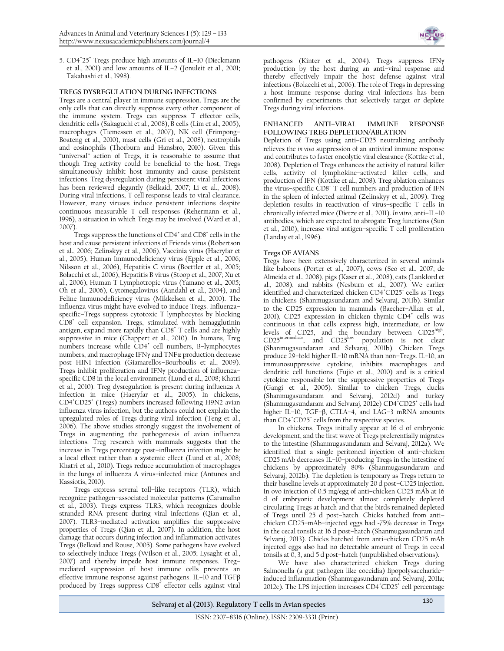

5. CD4<sup>+</sup>25<sup>+</sup> Tregs produce high amounts of IL-10 (Dieckmann [et al., 2001\)](#page-2-9) and low amounts of IL–2 [\(Jonuleit et al., 2001;](#page-2-10) [Takahashi et al., 1998\)](#page-3-13).

# **TREGS DYSREGULATION DURING INFECTIONS**

Tregs are a central player in immune suppression. Tregs are the only cells that can directly suppress every other component of the immune system. Tregs can suppress T effector cells, dendritic cells [\(Sakaguchi et al., 2008\)](#page-3-14), B cells [\(Lim et al., 2005\)](#page-3-15), macrophages [\(Tiemessen et al., 2007\)](#page-3-16), NK cell [\(Frimpong](#page-2-11)– [Boateng et al.,](#page-2-11) 2010), mast cells [\(Gri et al., 2008\)](#page-2-12), neutrophils and eosinophils [\(Thorburn and Hansbro, 2010\)](#page-3-17). Given this "universal" action of Tregs, it is reasonable to assume that though Treg activity could be beneficial to the host, Tregs simultaneously inhibit host immunity and cause persistent infections. Treg dysregulation during persistent viral infections has been reviewed elegantly [\(Belkaid, 2007;](#page-2-13) [Li et al., 2008\)](#page-3-1). During viral infections, T cell response leads to viral clearance. However, many viruses induce persistent infections despite continuous measurable T cell responses (Rehermann et al., [1996\)](#page-3-18), a situation in which Tregs may be involved [\(Ward et al.,](#page-3-19)  [2007\)](#page-3-19).

Tregs suppress the functions of CD4<sup>+</sup> and CD8<sup>+</sup> cells in the host and cause persistent infections of Friends virus [\(Robertson](#page-3-20)  [et al., 2006;](#page-3-20) [Zelinskyy et al., 2006\)](#page-4-1), Vaccinia virus [\(Haeryfar et](#page-2-14)  [al., 2005\)](#page-2-14), Human Immunodeficiency virus [\(Epple et al., 2006;](#page-2-15) [Nilsson et al., 2006\)](#page-3-21), Hepatitis C virus [\(Boettler et al., 2005;](#page-2-16) [Bolacchi et al., 2006\)](#page-2-17), Hepatitis B virus [\(Stoop et al., 2007;](#page-3-22) [Xu et](#page-3-23)  [al., 2006\)](#page-3-23), Human T Lymphotropic virus [\(Yamano et al., 2005;](#page-3-24) [Oh et al., 2006\)](#page-3-25), Cytomegalovirus [\(Aandahl et al., 2004\)](#page-2-18), and Feline Immunodeficiency virus [\(Mikkelsen et al., 2010\)](#page-3-26). The influenza virus might have evolved to induce Tregs. Influenza– specific–Tregs suppress cytotoxic T lymphocytes by blocking CD8<sup>+</sup> cell expansion. Tregs, stimulated with hemagglutinin antigen, expand more rapidly than CD8<sup>+</sup> T cells and are highly suppressive in mice [\(Chappert et al., 2010\)](#page-2-19). In humans, Treg numbers increase while CD4<sup>+</sup> cell numbers, B-lymphocytes numbers, and macrophage IFNγ and TNFα production decrease post H1N1 infection (Giamarellos–[Bourboulis et al., 2009\)](#page-2-20). Tregs inhibit proliferation and IFNγ production of influenza– specific CD8 in the local environment [\(Lund et al., 2008;](#page-3-27) [Khatri](#page-2-21)  [et al., 2010\)](#page-2-21). Treg dysregulation is present during influenza A infection in mice [\(Haeryfar et al., 2005\)](#page-2-14). In chickens, CD4<sup>+</sup>CD25<sup>+</sup> (Tregs) numbers increased following H9N2 avian influenza virus infection, but the authors could not explain the upregulated roles of Tregs during viral infection [\(Teng et al.,](#page-3-28)  [2006\)](#page-3-28). The above studies strongly suggest the involvement of Tregs in augmenting the pathogenesis of avian influenza infections. Treg research with mammals suggests that the increase in Tregs percentage post–influenza infection might be a local effect rather than a systemic effect [\(Lund et al., 2008;](#page-3-27) [Khatri et al., 2010\)](#page-2-21). Tregs reduce accumulation of macrophages in the lungs of influenza A virus–infected mice [\(Antunes and](#page-2-22)  [Kassiotis, 2010\)](#page-2-22).

Tregs express several toll–like receptors (TLR), which recognize pathogen–associated molecular patterns [\(Caramalho](#page-2-23)  [et al., 2003\)](#page-2-23). Tregs express TLR3, which recognizes double stranded RNA present during viral infections [\(Qian et al.,](#page-3-29)  [2007\)](#page-3-29). TLR3–mediated activation amplifies the suppressive properties of Tregs [\(Qian et al., 2007\)](#page-3-29). In addition, the host damage that occurs during infection and inflammation activates Tregs [\(Belkaid and Rouse, 2005\)](#page-2-0). Some pathogens have evolved to selectively induce Tregs [\(Wilson et al., 2005;](#page-3-30) [Lysaght et al.,](#page-3-31)  [2007\)](#page-3-31) and thereby impede host immune responses. Treg– mediated suppression of host immune cells prevents an effective immune response against pathogens. IL–10 and TGFβ produced by Tregs suppress CD8<sup>+</sup> effector cells against viral pathogens [\(Kinter et al., 2004\)](#page-3-32). Tregs suppress IFNγ production by the host during an anti–viral response and thereby effectively impair the host defense against viral infections [\(Bolacchi et al., 2006\)](#page-2-17). The role of Tregs in depressing a host immune response during viral infections has been confirmed by experiments that selectively target or deplete Tregs during viral infections.

# **ENHANCED ANTI–VIRAL IMMUNE RESPONSE FOLLOWING TREG DEPLETION/ABLATION**

Depletion of Tregs using anti–CD25 neutralizing antibody relieves the *in vivo* suppression of an antiviral immune response and contributes to faster oncolytic viral clearance [\(Kottke et al.,](#page-3-33)  [2008\)](#page-3-33). Depletion of Tregs enhances the activity of natural killer cells, activity of lymphokine–activated killer cells, and production of IFN [\(Kottke et al., 2008\)](#page-3-33). Treg ablation enhances the virus–specific CD8<sup>+</sup> T cell numbers and production of IFN in the spleen of infected animal [\(Zelinskyy et al., 2009\)](#page-4-2). Treg depletion results in reactivation of virus–specific T cells in chronically infected mice [\(Dietze et al., 2011\)](#page-2-24). *In vitro*, anti–IL–10 antibodies, which are expected to abrogate Treg functions [\(Sun](#page-3-34)  [et al., 2010\)](#page-3-34), increase viral antigen–specific T cell proliferation [\(Landay et al., 1996\)](#page-3-35).

# **Tregs OF AVIANS**

Tregs have been extensively characterized in several animals like baboons [\(Porter et al., 2007\)](#page-3-36), cows [\(Seo et al., 2007;](#page-3-37) [de](#page-2-25)  [Almeida et al., 2008\)](#page-2-25), pigs [\(Kaser et al., 2008\)](#page-2-26), cats [\(Lankford et](#page-3-38)  [al., 2008\)](#page-3-38), and rabbits [\(Nesburn et al., 2007\)](#page-3-39). We earlier identified and characterized chicken CD4\*CD25<sup>+</sup> cells as Tregs in chickens [\(Shanmugasundaram and Selvaraj, 2011b\)](#page-3-40). Similar to the CD25 expression in mammals (Baecher–[Allan et al.,](#page-2-27)  [2001\)](#page-2-27), CD25 expression in chicken thymic CD4<sup>+</sup> cells was continuous in that cells express high, intermediate, or low levels of CD25, and the boundary between CD25high,  $CD25$ <sup>intermediate</sup>, and  $CD25^{\text{low}}$  population is not clear [\(Shanmugasundaram and Selvaraj, 2011b\)](#page-3-40). Chicken Tregs produce 29–fold higher IL–10 mRNA than non–Tregs. IL–10, an immunosuppressive cytokine, inhibits macrophages and dendritic cell functions [\(Fujio et al., 2010\)](#page-2-28) and is a critical cytokine responsible for the suppressive properties of Tregs [\(Gangi et al., 2005\)](#page-2-29). Similar to chicken Tregs, ducks [\(Shanmugasundaram and Selvaraj, 2012d\)](#page-3-41) and turkey [\(Shanmugasundaram and Selvaraj, 2012e\)](#page-3-42) CD4<sup>+</sup>CD25<sup>+</sup> cells had higher IL–10, TGF–β, CTLA–4, and LAG–3 mRNA amounts than CD4<sup>+</sup>CD25<sup>-</sup> cells from the respective species.

In chickens, Tregs initially appear at 16 d of embryonic development, and the first wave of Tregs preferentially migrates to the intestine [\(Shanmugasundaram and Selvaraj, 2012a\)](#page-3-43). We identified that a single peritoneal injection of anti–chicken CD25 mAb decreases IL–10–producing Tregs in the intestine of chickens by approximately 80% [\(Shanmugasundaram and](#page-3-44)  [Selvaraj, 2012b\)](#page-3-44). The depletion is temporary as Tregs return to their baseline levels at approximately 20 d post–CD25 injection. In ovo injection of 0.5 mg/egg of anti–chicken CD25 mAb at 16 d of embryonic development almost completely depleted circulating Tregs at hatch and that the birds remained depleted of Tregs until 25 d post–hatch. Chicks hatched from anti– chicken CD25–mAb–injected eggs had ~75% decrease in Tregs in the cecal tonsils at 16 d post–hatch [\(Shanmugasundaram and](#page-3-45)  [Selvaraj, 2013\)](#page-3-45). Chicks hatched from anti–chicken CD25 mAb injected eggs also had no detectable amount of Tregs in cecal tonsils at 0, 3, and 5 d post–hatch (unpublished observations).

We have also characterized chicken Tregs during Salmonella (a gut pathogen like coccidia) lipopolysaccharide– induced inflammation [\(Shanmugasundaram and Selvaraj, 2011a;](#page-3-46) [2012c\)](#page-3-47). The LPS injection increases CD4<sup>+</sup>CD25<sup>+</sup> cell percentage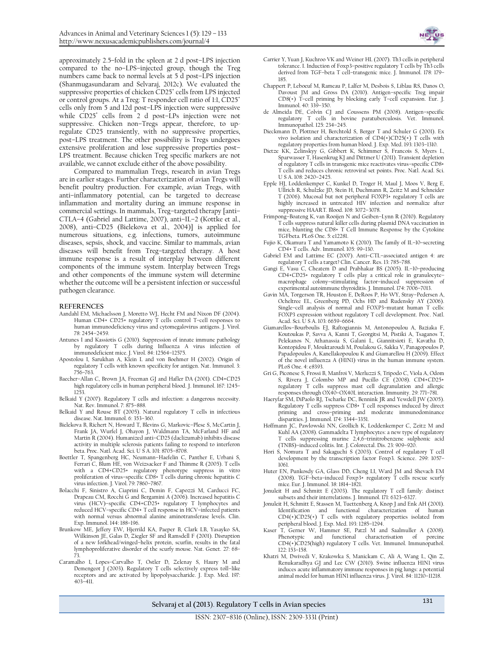approximately 2.5–fold in the spleen at 2 d post–LPS injection compared to the no–LPS–injected group, though the Treg numbers came back to normal levels at 5 d post–LPS injection [\(Shanmugasundaram and Selvaraj, 2012c\)](#page-3-47). We evaluated the suppressive properties of chicken CD25<sup>+</sup> cells from LPS injected or control groups. At a Treg: T responder cell ratio of 1:1, CD25<sup>+</sup> cells only from 5 and 12d post–LPS injection were suppressive while CD25<sup>+</sup> cells from 2 d post-LPs injection were not suppressive. Chicken non–Tregs appear, therefore, to upregulate CD25 transiently, with no suppressive properties, post–LPS treatment. The other possibility is Tregs undergoes extensive proliferation and lose suppressive properties post– LPS treatment. Because chicken Treg specific markers are not available, we cannot exclude either of the above possibility.

Compared to mammalian Tregs, research in avian Tregs are in earlier stages. Further characterization of avian Tregs will benefit poultry production. For example, avian Tregs, with anti–inflammatory potential, can be targeted to decrease inflammation and mortality during an immune response in commercial settings. In mammals, Treg–targeted therapy [anti– CTLA–4 [\(Gabriel and Lattime, 2007\)](#page-2-30), anti–IL–2 [\(Kottke et al.,](#page-3-33)  [2008\)](#page-3-33), anti–CD25 [\(Bielekova et al., 2004\)](#page-2-31)] is applied for numerous situations, e.g. infections, tumors, autoimmune diseases, sepsis, shock, and vaccine. Similar to mammals, avian diseases will benefit from Treg–targeted therapy. A host immune response is a result of interplay between different components of the immune system. Interplay between Tregs and other components of the immune system will determine whether the outcome will be a persistent infection or successful pathogen clearance.

#### **REFERENCES**

- <span id="page-2-18"></span>Aandahl EM, Michaelsson J, Moretto WJ, Hecht FM and Nixon DF (2004). Human CD4+ CD25+ regulatory T cells control T–cell responses to human immunodeficiency virus and cytomegalovirus antigens. J. Virol. 78: 2454–2459.
- <span id="page-2-22"></span>Antunes I and Kassiotis G (2010). Suppression of innate immune pathology by regulatory T cells during Influenza A virus infection of immunodeficient mice. J. Virol. 84: 12564–12575.
- <span id="page-2-8"></span>Apostolou I, Sarukhan A, Klein L and von Boehmer H (2002). Origin of regulatory T cells with known specificity for antigen. Nat. Immunol. 3: 756–763.
- <span id="page-2-27"></span>Baecher–Allan C, Brown JA, Freeman GJ and Hafler DA (2001). CD4+CD25 high regulatory cells in human peripheral blood. J. Immunol. 167: 1245– 1253.
- <span id="page-2-13"></span>Belkaid Y (2007). Regulatory T cells and infection: a dangerous necessity. Nat. Rev. Immunol. 7: 875–888.
- <span id="page-2-0"></span>Belkaid Y and Rouse BT (2005). Natural regulatory T cells in infectious disease. Nat. Immunol. 6: 353–360.
- <span id="page-2-31"></span>Bielekova B, Richert N, Howard T, Blevins G, Markovic–Plese S, McCartin J, Frank JA, Wurfel J, Ohayon J, Waldmann TA, McFarland HF and Martin R (2004). Humanized anti–CD25 (daclizumab) inhibits disease activity in multiple sclerosis patients failing to respond to interferon beta. Proc. Natl. Acad. Sci. U S A. 101: 8705–8708.
- <span id="page-2-16"></span>Boettler T, Spangenberg HC, Neumann–Haefelin C, Panther E, Urbani S, Ferrari C, Blum HE, von Weizsacker F and Thimme R (2005). T cells with a CD4+CD25+ regulatory phenotype suppress in vitro proliferation of virus–specific CD8+ T cells during chronic hepatitis C virus infection. J. Virol. 79: 7860–7867.
- <span id="page-2-17"></span>Bolacchi F, Sinistro A, Ciaprini C, Demin F, Capozzi M, Carducci FC, Drapeau CM, Rocchi G and Bergamini A (2006). Increased hepatitis C virus (HCV)–specific CD4+CD25+ regulatory T lymphocytes and reduced HCV–specific CD4+ T cell response in HCV–infected patients with normal versus abnormal alanine aminotransferase levels. Clin. Exp. Immunol. 144: 188–196.
- <span id="page-2-3"></span>Brunkow ME, Jeffery EW, Hjerrild KA, Paeper B, Clark LB, Yasayko SA, Wilkinson JE, Galas D, Ziegler SF and Ramsdell F (2001). Disruption of a new forkhead/winged–helix protein, scurfin, results in the fatal lymphoproliferative disorder of the scurfy mouse. Nat. Genet. 27: 68– 73.
- <span id="page-2-23"></span>Caramalho I, Lopes–Carvalho T, Ostler D, Zelenay S, Haury M and Demengeot J (2003). Regulatory T cells selectively express toll-like receptors and are activated by lipopolysaccharide. J. Exp. Med. 197: 403–411.
- <span id="page-2-6"></span>Carrier Y, Yuan J, Kuchroo VK and Weiner HL (2007). Th3 cells in peripheral tolerance. I. Induction of Foxp3–positive regulatory T cells by Th3 cells derived from TGF–beta T cell–transgenic mice. J. Immunol. 178: 179– 185.
- <span id="page-2-19"></span>Chappert P, Leboeuf M, Rameau P, Lalfer M, Desbois S, Liblau RS, Danos O, Davoust JM and Gross DA (2010). Antigen–specific Treg impair CD8(+) T–cell priming by blocking early T–cell expansion. Eur. J. Immunol. 40: 339–350.
- <span id="page-2-25"></span>de Almeida DE, Colvin CJ and Coussens PM (2008). Antigen–specific regulatory T cells in bovine paratuberculosis. Vet. Immunol. Immunopathol. 125: 234–245.
- <span id="page-2-9"></span>Dieckmann D, Plottner H, Berchtold S, Berger T and Schuler G (2001). Ex vivo isolation and characterization of CD4(+)CD25(+) T cells with
- <span id="page-2-24"></span>regulatory properties from human blood. J. Exp. Med. 193: 1303–1310. Dietze KK, Zelinskyy G, Gibbert K, Schimmer S, Francois S, Myers L, Sparwasser T, Hasenkrug KJ and Dittmer U (2011). Transient depletion of regulatory T cells in transgenic mice reactivates virus–specific CD8+ T cells and reduces chronic retroviral set points. Proc. Natl. Acad. Sci. U S A. 108: 2420–2425.
- <span id="page-2-15"></span>Epple HJ, Loddenkemper C, Kunkel D, Troger H, Maul J, Moos V, Berg E, Ullrich R, Schulzke JD, Stein H, Duchmann R, Zeitz M and Schneider T (2006). Mucosal but not peripheral FOXP3+ regulatory T cells are highly increased in untreated HIV infection and normalize after suppressive HAART. Blood. 108: 3072–3078.
- <span id="page-2-11"></span>Frimpong–Boateng K, van Rooijen N and Geiben–Lynn R (2010). Regulatory T cells suppress natural killer cells during plasmid DNA vaccination in mice, blunting the CD8+ T Cell Immune Response by the Cytokine TGFbeta. PLoS One. 5: e12281.
- <span id="page-2-28"></span>Fujio K, Okamura T and Yamamoto K (2010). The family of IL–10–secreting CD4+ T cells. Adv. Immunol. 105: 99–130.
- <span id="page-2-30"></span>Gabriel EM and Lattime EC (2007). Anti–CTL–associated antigen 4: are regulatory T cells a target? Clin. Cancer. Res. 13: 785–788.
- <span id="page-2-29"></span>Gangi E, Vasu C, Cheatem D and Prabhakar BS (2005). IL–10–producing CD4+CD25+ regulatory T cells play a critical role in granulocyte– macrophage colony–stimulating factor–induced suppression of experimental autoimmune thyroiditis. J. Immunol. 174: 7006–7013.
- <span id="page-2-5"></span>Gavin MA, Torgerson TR, Houston E, DeRoos P, Ho WY, Stray–Pedersen A, Ocheltree EL, Greenberg PD, Ochs HD and Rudensky AY (2006). Single–cell analysis of normal and FOXP3–mutant human T cells: FOXP3 expression without regulatory T cell development. Proc. Natl. Acad. Sci. U S A. 103: 6659–6664.
- <span id="page-2-20"></span>Giamarellos–Bourboulis EJ, Raftogiannis M, Antonopoulou A, Baziaka F, Koutoukas P, Savva A, Kanni T, Georgitsi M, Pistiki A, Tsaganos T, Pelekanos N, Athanassia S, Galani L, Giannitsioti E, Kavatha D, Kontopidou F, Mouktaroudi M, Poulakou G, Sakka V, Panagopoulos P, Papadopoulos A, Kanellakopoulou K and Giamarellou H (2009). Effect of the novel influenza A (H1N1) virus in the human immune system. PLoS One. 4: e8393.
- <span id="page-2-12"></span>Gri G, Piconese S, Frossi B, Manfroi V, Merluzzi S, Tripodo C, Viola A, Odom S, Rivera J, Colombo MP and Pucillo CE (2008). CD4+CD25+ regulatory T cells suppress mast cell degranulation and allergic responses through OX40–OX40L interaction. Immunity. 29: 771–781.
- <span id="page-2-14"></span>Haeryfar SM, DiPaolo RJ, Tscharke DC, Bennink JR and Yewdell JW (2005). Regulatory T cells suppress CD8+ T cell responses induced by direct priming and cross–priming and moderate immunodominance disparities. J. Immunol. 174: 3344–3351.
- <span id="page-2-7"></span>Hoffmann JC, Pawlowski NN, Grollich K, Loddenkemper C, Zeitz M and Kuhl AA (2008). Gammadelta T lymphocytes: a new type of regulatory T cells suppressing murine 2,4,6-trinitrobenzene sulphonic acid (TNBS)–induced colitis. Int. J. Colorectal. Dis. 23: 909–920.
- <span id="page-2-2"></span>Hori S, Nomura T and Sakaguchi S (2003). Control of regulatory T cell development by the transcription factor Foxp3. Science. 299: 1057– 1061.
- <span id="page-2-4"></span>Huter EN, Punkosdy GA, Glass DD, Cheng LI, Ward JM and Shevach EM (2008). TGF–beta–induced Foxp3+ regulatory T cells rescue scurfy mice. Eur. J. Immunol. 38: 1814–1821.
- <span id="page-2-1"></span>Jonuleit H and Schmitt E (2003). The regulatory T cell family: distinct subsets and their interrelations. J. Immunol. 171: 6323–6327.
- <span id="page-2-10"></span>Jonuleit H, Schmitt E, Stassen M, Tuettenberg A, Knop J and Enk AH (2001). Identification and functional characterization of human CD4(+)CD25(+) T cells with regulatory properties isolated from peripheral blood. J. Exp. Med. 193: 1285–1294.
- <span id="page-2-26"></span>Kaser T, Gerner W, Hammer SE, Patzl M and Saalmuller A (2008). Phenotypic and functional characterisation of porcine Phenotypic and functional characterisation of porcine<br>CD4(+)CD25(high) regulatory T cells. Vet. Immunol. Immunopathol. 122: 153–158.
- <span id="page-2-21"></span>Khatri M, Dwivedi V, Krakowka S, Manickam C, Ali A, Wang L, Qin Z, Renukaradhya GJ and Lee CW (2010). Swine influenza H1N1 virus induces acute inflammatory immune responses in pig lungs: a potential animal model for human H1N1 influenza virus. J. Virol. 84: 11210–11218.

**Selvaraj et al (2013**). **Regulatory T cells in Avian species** <sup>131</sup>

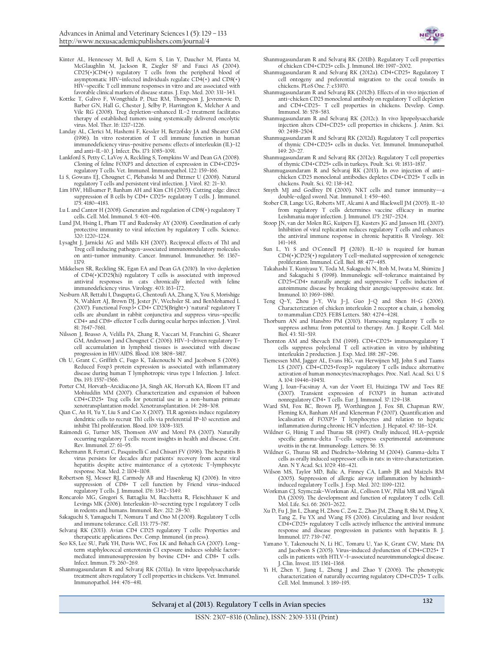

- <span id="page-3-32"></span>Kinter AL, Hennessey M, Bell A, Kern S, Lin Y, Daucher M, Planta M, McGlaughlin M, Jackson R, Ziegler SF and Fauci AS (2004). CD25(+)CD4(+) regulatory T cells from the peripheral blood of asymptomatic HIV-infected individuals regulate  $CD4(+)$  and  $CD8(+)$ HIV–specific T cell immune responses in vitro and are associated with favorable clinical markers of disease status. J. Exp. Med. 200: 331–343.
- <span id="page-3-33"></span>Kottke T, Galivo F, Wongthida P, Diaz RM, Thompson J, Jevremovic D, Barber GN, Hall G, Chester J, Selby P, Harrington K, Melcher A and Vile RG (2008). Treg depletion–enhanced IL–2 treatment facilitates therapy of established tumors using systemically delivered oncolytic virus. Mol. Ther. 16: 1217–1226.
- <span id="page-3-35"></span>Landay AL, Clerici M, Hashemi F, Kessler H, Berzofsky JA and Shearer GM (1996). In vitro restoration of T cell immune function in human immunodeficiency virus–positive persons: effects of interleukin (IL)–12 and anti–IL–10. J. Infect. Dis. 173: 1085–1091.
- <span id="page-3-38"></span>Lankford S, Petty C, LaVoy A, Reckling S, Tompkins W and Dean GA (2008). Cloning of feline FOXP3 and detection of expression in CD4+CD25+ regulatory T cells. Vet. Immunol. Immunopathol. 122: 159–166.
- <span id="page-3-1"></span>Li S, Gowans EJ, Chougnet C, Plebanski M and Dittmer U (2008). Natural regulatory T cells and persistent viral infection. J. Virol. 82: 21–30.
- <span id="page-3-15"></span>Lim HW, Hillsamer P, Banham AH and Kim CH (2005). Cutting edge: direct suppression of B cells by CD4+ CD25+ regulatory T cells. J. Immunol. 175: 4180–4183.
- <span id="page-3-7"></span>Lu L and Cantor H (2008). Generation and regulation of CD8(+) regulatory T cells. Cell. Mol. Immunol. 5: 401–406.
- <span id="page-3-27"></span>Lund JM, Hsing L, Pham TT and Rudensky AY (2008). Coordination of early protective immunity to viral infection by regulatory T cells. Science. 320: 1220–1224.
- <span id="page-3-31"></span>Lysaght J, Jarnicki AG and Mills KH (2007). Reciprocal effects of Th1 and Treg cell inducing pathogen–associated immunomodulatory molecules on anti–tumor immunity. Cancer. Immunol. Immunother. 56: 1367– 1379.
- <span id="page-3-26"></span>Mikkelsen SR, Reckling SK, Egan EA and Dean GA (2010). In vivo depletion of CD4(+)CD25(hi) regulatory T cells is associated with improved antiviral responses in cats chronically infected with feline immunodeficiency virus. Virology. 403: 163–172.
- <span id="page-3-39"></span>Nesburn AB, Bettahi I, Dasgupta G, Chentoufi AA, Zhang X, You S, Morishige N, Wahlert AJ, Brown DJ, Jester JV, Wechsler SL and BenMohamed L (2007). Functional Foxp3+ CD4+ CD25(Bright+) "natural" regulatory T cells are abundant in rabbit conjunctiva and suppress virus–specific CD4+ and CD8+ effector T cells during ocular herpes infection. J. Virol. 81: 7647–7661.
- <span id="page-3-21"></span>Nilsson J, Boasso A, Velilla PA, Zhang R, Vaccari M, Franchini G, Shearer GM, Andersson J and Chougnet C (2006). HIV–1–driven regulatory T– cell accumulation in lymphoid tissues is associated with disease
- <span id="page-3-25"></span>progression in HIV/AIDS. Blood. 108: 3808–3817. Oh U, Grant C, Griffith C, Fugo K, Takenouchi N and Jacobson S (2006). Reduced Foxp3 protein expression is associated with inflammatory disease during human T lymphotropic virus type 1 Infection. J. Infect. Dis. 193: 1557–1566.
- <span id="page-3-36"></span>Porter CM, Horvath–Arcidiacono JA, Singh AK, Horvath KA, Bloom ET and Mohiuddin MM (2007). Characterization and expansion of baboon CD4+CD25+ Treg cells for potential use in a non–human primate xenotransplantation model. Xenotransplantation. 14: 298–308.
- <span id="page-3-29"></span>Qian C, An H, Yu Y, Liu S and Cao X (2007). TLR agonists induce regulatory dendritic cells to recruit Th1 cells via preferential IP–10 secretion and inhibit Th1 proliferation. Blood. 109: 3308–3315.
- <span id="page-3-3"></span>Raimondi G, Turner MS, Thomson AW and Morel PA (2007). Naturally occurring regulatory T cells: recent insights in health and disease. Crit. Rev. Immunol. 27: 61–95.
- <span id="page-3-18"></span>Rehermann B, Ferrari C, Pasquinelli C and Chisari FV (1996). The hepatitis B virus persists for decades after patients' recovery from acute viral hepatitis despite active maintenance of a cytotoxic T–lymphocyte response. Nat. Med. 2: 1104–1108.
- <span id="page-3-20"></span>Robertson SJ, Messer RJ, Carmody AB and Hasenkrug KJ (2006). In vitro suppression of CD8+ T cell function by Friend virus–induced regulatory T cells. J. Immunol. 176: 3342–3349.
- <span id="page-3-6"></span>Roncarolo MG, Gregori S, Battaglia M, Bacchetta R, Fleischhauer K and Levings MK (2006). Interleukin–10–secreting type 1 regulatory T cells in rodents and humans. Immunol. Rev. 212: 28–50.
- <span id="page-3-14"></span>Sakaguchi S, Yamaguchi T, Nomura T and Ono M (2008). Regulatory T cells and immune tolerance. Cell. 133: 775–787.
- <span id="page-3-5"></span>Selvaraj RK (2013). Avian CD4 CD25 regulatory T cells: Properties and therapeutic applications. Dev. Comp. Immunol. (in press).
- <span id="page-3-37"></span>Seo KS, Lee SU, Park YH, Davis WC, Fox LK and Bohach GA (2007). Long– term staphylococcal enterotoxin C1 exposure induces soluble factor– mediated immunosuppression by bovine CD4+ and CD8+ T cells. Infect. Immun. 75: 260–269.
- <span id="page-3-46"></span>Shanmugasundaram R and Selvaraj RK (2011a). In vitro lipopolysaccharide treatment alters regulatory T cell properties in chickens. Vet. Immunol. Immunopathol. 144: 476–481.
- <span id="page-3-40"></span>Shanmugasundaram R and Selvaraj RK (2011b). Regulatory T cell properties of chicken CD4+CD25+ cells. J. Immunol. 186: 1997–2002.
- <span id="page-3-43"></span>Shanmugasundaram R and Selvaraj RK (2012a). CD4+CD25+ Regulatory T cell ontogeny and preferential migration to the cecal tonsils in chickens. PLoS One. 7: e33970.
- <span id="page-3-44"></span>Shanmugasundaram R and Selvaraj RK (2012b). Effects of in vivo injection of anti–chicken CD25 monoclonal antibody on regulatory T cell depletion and CD4+CD25– T cell properties in chickens. Develop. Comp. Immunol. 36: 578–583.
- <span id="page-3-47"></span>Shanmugasundaram R and Selvaraj RK (2012c). In vivo lipopolysaccharide injection alters CD4+CD25+ cell properties in chickens. J. Anim. Sci. 90: 2498–2504.
- <span id="page-3-41"></span>Shanmugasundaram R and Selvaraj RK (2012d). Regulatory T cell properties of thymic CD4+CD25+ cells in ducks. Vet. Immunol. Immunopathol. 149: 20–27.
- <span id="page-3-42"></span>Shanmugasundaram R and Selvaraj RK (2012e). Regulatory T cell properties of thymic CD4+CD25+ cells in turkeys. Poult. Sci. 91: 1833–1837.
- <span id="page-3-45"></span>Shanmugasundaram R and Selvaraj RK (2013). In ovo injection of anti– chicken CD25 monoclonal antibodies depletes CD4+CD25+ T cells in chickens. Poult. Sci. 92: 138–142.
- <span id="page-3-10"></span>Smyth MJ and Godfrey DI (2000). NKT cells and tumor immunitydouble–edged sword. Nat. Immunol. 1: 459–460.
- <span id="page-3-2"></span>Stober CB, Lange UG, Roberts MT, Alcami A and Blackwell JM (2005). IL–10 from regulatory T cells determines vaccine efficacy in murine Leishmania major infection. J. Immunol. 175: 2517–2524.
- <span id="page-3-22"></span>Stoop JN, van der Molen RG, Kuipers EJ, Kusters JG and Janssen HL (2007). Inhibition of viral replication reduces regulatory T cells and enhances the antiviral immune response in chronic hepatitis B. Virology. 361: 141–148.
- <span id="page-3-34"></span>Sun L, Yi S and O'Connell PJ (2010). IL–10 is required for human CD4(+)CD25(+) regulatory T cell–mediated suppression of xenogeneic proliferation. Immunol. Cell. Biol. 88: 477–485.
- <span id="page-3-13"></span>Takahashi T, Kuniyasu Y, Toda M, Sakaguchi N, Itoh M, Iwata M, Shimizu J and Sakaguchi S (1998). Immunologic self–tolerance maintained by CD25+CD4+ naturally anergic and suppressive T cells: induction of autoimmune disease by breaking their anergic/suppressive state. Int. Immunol. 10: 1969–1980.
- <span id="page-3-28"></span>Teng Q–Y, Zhou J–Y, Wu J–J, Guo J–Q and Shen H–G (2006). Characterization of chicken interleukin 2 receptor α chain, a homolog to mammalian CD25. FEBS Letters. 580: 4274–4281.
- <span id="page-3-17"></span>Thorburn AN and Hansbro PM (2010). Harnessing regulatory T cells to suppress asthma: from potential to therapy. Am. J. Respir. Cell. Mol. Biol. 43: 511–519.
- <span id="page-3-11"></span>Thornton AM and Shevach EM (1998). CD4+CD25+ immunoregulatory T cells suppress polyclonal  $\dot{T}$  cell activation in vitro by inhibiting interleukin 2 production. J. Exp. Med. 188: 287–296.
- <span id="page-3-16"></span>Tiemessen MM, Jagger AL, Evans HG, van Herwijnen MJ, John S and Taams LS (2007). CD4+CD25+Foxp3+ regulatory T cells induce alternative activation of human monocytes/macrophages. Proc. Natl. Acad. Sci. U S A. 104: 19446–19451.
- <span id="page-3-4"></span>Wang J, Ioan–Facsinay A, van der Voort EI, Huizinga TW and Toes RE (2007). Transient expression of FOXP3 in human activated
- <span id="page-3-19"></span>nonregulatory CD4+ T cells. Eur. J. Immunol. 37: 129–138. Ward SM, Fox BC, Brown PJ, Worthington J, Fox SB, Chapman RW, Fleming KA, Banham AH and Klenerman P (2007). Quantification and localisation of FOXP3+ T lymphocytes and relation to hepatic inflammation during chronic HCV infection. J. Hepatol. 47: 316–324.
- <span id="page-3-8"></span>Wildner G, Hünig T and Thurau SR (1997). Orally induced, HLA–peptide specific gamma–delta T–cells suppress experimental autoimmune uveitis in the rat. Immunology. Letters. 56: 35.
- <span id="page-3-9"></span>Wildner G, Thurau SR and Diedrichs–Mohring M (2004). Gamma–delta T cells as orally induced suppressor cells in rats: in vitro characterization. Ann. N Y Acad. Sci. 1029: 416–421.
- <span id="page-3-30"></span>Wilson MS, Taylor MD, Balic A, Finney CA, Lamb JR and Maizels RM (2005). Suppression of allergic airway inflammation by helminth– induced regulatory T cells. J. Exp. Med. 202: 1199–1212.
- <span id="page-3-0"></span>Workman CJ, Szymczak–Workman AL, Collison LW, Pillai MR and Vignali DA (2009). The development and function of regulatory T cells. Cell. Mol. Life. Sci. 66: 2603–2622.
- <span id="page-3-23"></span>Xu D, Fu J, Jin L, Zhang H, Zhou C, Zou Z, Zhao JM, Zhang B, Shi M, Ding X, Tang Z, Fu YX and Wang FS (2006). Circulating and liver resident CD4+CD25+ regulatory T cells actively influence the antiviral immune response and disease progression in patients with hepatitis B. J. Immunol. 177: 739–747.
- <span id="page-3-24"></span>Yamano Y, Takenouchi N, Li HC, Tomaru U, Yao K, Grant CW, Maric DA and Jacobson S (2005). Virus–induced dysfunction of CD4+CD25+ T cells in patients with HTLV–I–associated neuroimmunological disease. J. Clin. Invest. 115: 1361–1368.
- <span id="page-3-12"></span>Yi H, Zhen Y, Jiang L, Zheng J and Zhao Y (2006). The phenotypic characterization of naturally occurring regulatory CD4+CD25+ T cells. Cell. Mol. Immunol. 3: 189–195.